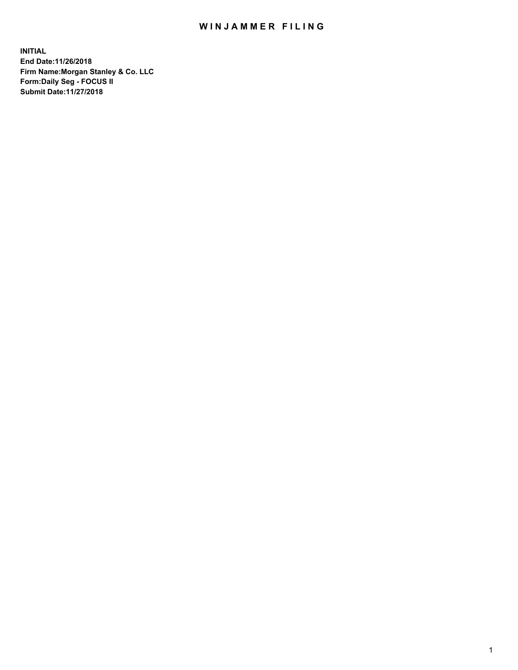## WIN JAMMER FILING

**INITIAL End Date:11/26/2018 Firm Name:Morgan Stanley & Co. LLC Form:Daily Seg - FOCUS II Submit Date:11/27/2018**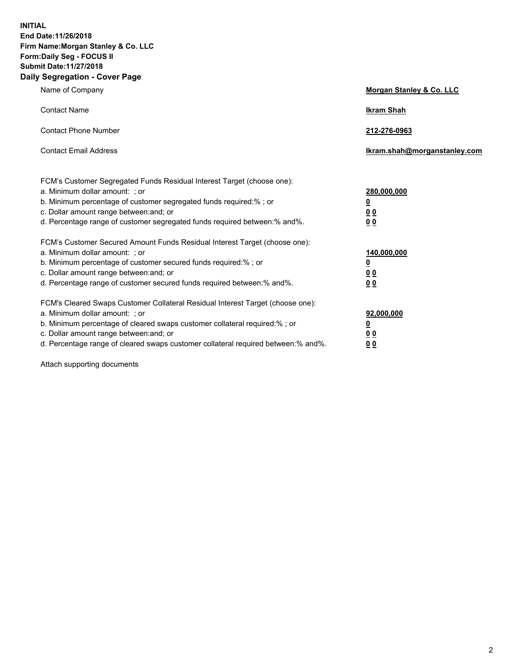**INITIAL End Date:11/26/2018 Firm Name:Morgan Stanley & Co. LLC Form:Daily Seg - FOCUS II Submit Date:11/27/2018 Daily Segregation - Cover Page**

| Name of Company                                                                                                                                                                                                                                                                                                                | Morgan Stanley & Co. LLC                                    |
|--------------------------------------------------------------------------------------------------------------------------------------------------------------------------------------------------------------------------------------------------------------------------------------------------------------------------------|-------------------------------------------------------------|
| <b>Contact Name</b>                                                                                                                                                                                                                                                                                                            | <b>Ikram Shah</b>                                           |
| <b>Contact Phone Number</b>                                                                                                                                                                                                                                                                                                    | 212-276-0963                                                |
| <b>Contact Email Address</b>                                                                                                                                                                                                                                                                                                   | Ikram.shah@morganstanley.com                                |
| FCM's Customer Segregated Funds Residual Interest Target (choose one):<br>a. Minimum dollar amount: ; or<br>b. Minimum percentage of customer segregated funds required:% ; or<br>c. Dollar amount range between: and; or<br>d. Percentage range of customer segregated funds required between: % and %.                       | 280,000,000<br><u>0</u><br>00<br>00                         |
| FCM's Customer Secured Amount Funds Residual Interest Target (choose one):<br>a. Minimum dollar amount: ; or<br>b. Minimum percentage of customer secured funds required:%; or<br>c. Dollar amount range between: and; or<br>d. Percentage range of customer secured funds required between:% and%.                            | 140,000,000<br><u>0</u><br>0 <sub>0</sub><br>0 <sub>0</sub> |
| FCM's Cleared Swaps Customer Collateral Residual Interest Target (choose one):<br>a. Minimum dollar amount: ; or<br>b. Minimum percentage of cleared swaps customer collateral required:% ; or<br>c. Dollar amount range between: and; or<br>d. Percentage range of cleared swaps customer collateral required between:% and%. | 92,000,000<br><u>0</u><br><u>00</u><br>0 <sub>0</sub>       |

Attach supporting documents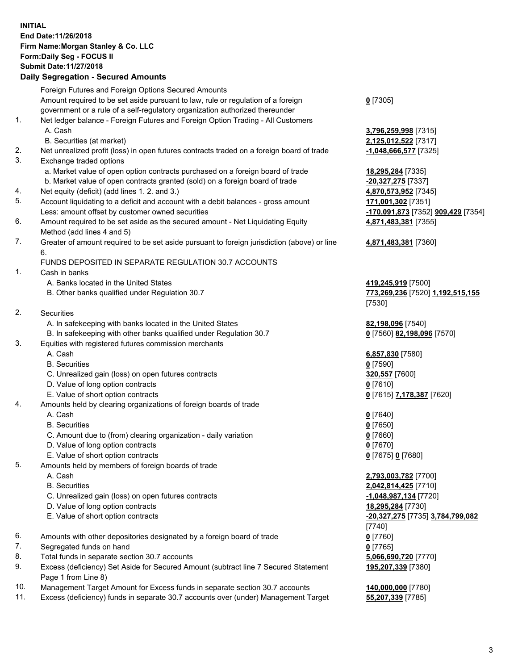## **INITIAL End Date:11/26/2018 Firm Name:Morgan Stanley & Co. LLC Form:Daily Seg - FOCUS II Submit Date:11/27/2018**

## **Daily Segregation - Secured Amounts**

|     | Foreign Futures and Foreign Options Secured Amounts                                                          |                                                        |
|-----|--------------------------------------------------------------------------------------------------------------|--------------------------------------------------------|
|     | Amount required to be set aside pursuant to law, rule or regulation of a foreign                             | $0$ [7305]                                             |
|     | government or a rule of a self-regulatory organization authorized thereunder                                 |                                                        |
| 1.  | Net ledger balance - Foreign Futures and Foreign Option Trading - All Customers                              |                                                        |
|     | A. Cash                                                                                                      | 3,796,259,998 [7315]                                   |
|     | B. Securities (at market)                                                                                    | 2,125,012,522 [7317]                                   |
| 2.  | Net unrealized profit (loss) in open futures contracts traded on a foreign board of trade                    | -1,048,666,577 [7325]                                  |
| 3.  | Exchange traded options                                                                                      |                                                        |
|     | a. Market value of open option contracts purchased on a foreign board of trade                               | 18,295,284 [7335]                                      |
|     | b. Market value of open contracts granted (sold) on a foreign board of trade                                 | -20,327,275 [7337]                                     |
| 4.  | Net equity (deficit) (add lines 1.2. and 3.)                                                                 | 4,870,573,952 [7345]                                   |
| 5.  | Account liquidating to a deficit and account with a debit balances - gross amount                            | 171,001,302 [7351]                                     |
|     | Less: amount offset by customer owned securities                                                             | <mark>-170,091,873</mark> [7352] <b>909,429</b> [7354] |
| 6.  | Amount required to be set aside as the secured amount - Net Liquidating Equity<br>Method (add lines 4 and 5) | 4,871,483,381 [7355]                                   |
| 7.  | Greater of amount required to be set aside pursuant to foreign jurisdiction (above) or line                  | 4,871,483,381 [7360]                                   |
|     | 6.                                                                                                           |                                                        |
|     | FUNDS DEPOSITED IN SEPARATE REGULATION 30.7 ACCOUNTS                                                         |                                                        |
| 1.  | Cash in banks                                                                                                |                                                        |
|     | A. Banks located in the United States                                                                        | 419,245,919 [7500]                                     |
|     | B. Other banks qualified under Regulation 30.7                                                               | 773,269,236 [7520] 1,192,515,155                       |
|     |                                                                                                              | [7530]                                                 |
| 2.  | Securities                                                                                                   |                                                        |
|     | A. In safekeeping with banks located in the United States                                                    | 82,198,096 [7540]                                      |
|     | B. In safekeeping with other banks qualified under Regulation 30.7                                           | 0 [7560] 82,198,096 [7570]                             |
| 3.  | Equities with registered futures commission merchants                                                        |                                                        |
|     | A. Cash                                                                                                      | 6,857,830 [7580]                                       |
|     | <b>B.</b> Securities                                                                                         | $0$ [7590]                                             |
|     | C. Unrealized gain (loss) on open futures contracts                                                          | 320,557 [7600]                                         |
|     | D. Value of long option contracts                                                                            | $0$ [7610]                                             |
|     | E. Value of short option contracts                                                                           | 0 [7615] 7,178,387 [7620]                              |
| 4.  | Amounts held by clearing organizations of foreign boards of trade                                            |                                                        |
|     | A. Cash                                                                                                      | $0$ [7640]                                             |
|     | <b>B.</b> Securities                                                                                         | $0$ [7650]                                             |
|     | C. Amount due to (from) clearing organization - daily variation                                              | $0$ [7660]                                             |
|     | D. Value of long option contracts                                                                            | $0$ [7670]                                             |
|     | E. Value of short option contracts                                                                           | 0 [7675] 0 [7680]                                      |
| 5.  | Amounts held by members of foreign boards of trade                                                           |                                                        |
|     | A. Cash                                                                                                      | 2,793,003,782 [7700]                                   |
|     | <b>B.</b> Securities                                                                                         | 2,042,814,425 [7710]                                   |
|     | C. Unrealized gain (loss) on open futures contracts                                                          | $-1,048,987,134$ [7720]                                |
|     | D. Value of long option contracts                                                                            | 18,295,284 [7730]                                      |
|     | E. Value of short option contracts                                                                           | -20,327,275 [7735] 3,784,799,082                       |
|     |                                                                                                              | [7740]                                                 |
| 6.  | Amounts with other depositories designated by a foreign board of trade                                       | $0$ [7760]                                             |
| 7.  | Segregated funds on hand                                                                                     | $0$ [7765]                                             |
| 8.  | Total funds in separate section 30.7 accounts                                                                | 5,066,690,720 [7770]                                   |
| 9.  | Excess (deficiency) Set Aside for Secured Amount (subtract line 7 Secured Statement<br>Page 1 from Line 8)   | 195,207,339 [7380]                                     |
| 10. | Management Target Amount for Excess funds in separate section 30.7 accounts                                  | 140,000,000 [7780]                                     |

11. Excess (deficiency) funds in separate 30.7 accounts over (under) Management Target **55,207,339** [7785]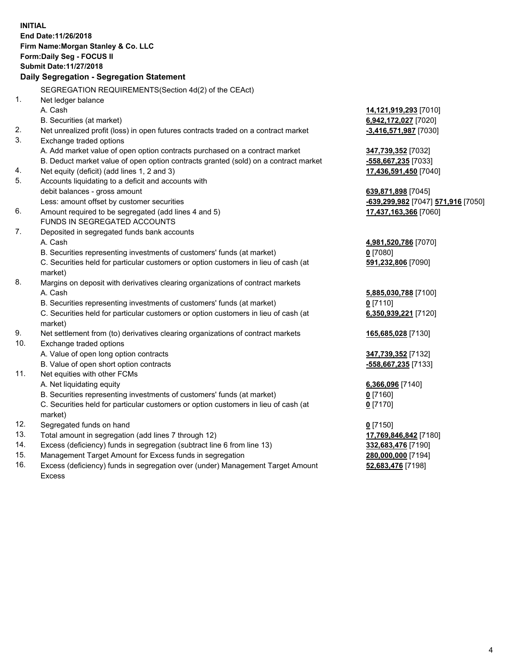**INITIAL End Date:11/26/2018 Firm Name:Morgan Stanley & Co. LLC Form:Daily Seg - FOCUS II Submit Date:11/27/2018 Daily Segregation - Segregation Statement** SEGREGATION REQUIREMENTS(Section 4d(2) of the CEAct) 1. Net ledger balance A. Cash **14,121,919,293** [7010] B. Securities (at market) **6,942,172,027** [7020] 2. Net unrealized profit (loss) in open futures contracts traded on a contract market **-3,416,571,987** [7030] 3. Exchange traded options A. Add market value of open option contracts purchased on a contract market **347,739,352** [7032] B. Deduct market value of open option contracts granted (sold) on a contract market **-558,667,235** [7033] 4. Net equity (deficit) (add lines 1, 2 and 3) **17,436,591,450** [7040] 5. Accounts liquidating to a deficit and accounts with debit balances - gross amount **639,871,898** [7045] Less: amount offset by customer securities **-639,299,982** [7047] **571,916** [7050] 6. Amount required to be segregated (add lines 4 and 5) **17,437,163,366** [7060] FUNDS IN SEGREGATED ACCOUNTS 7. Deposited in segregated funds bank accounts A. Cash **4,981,520,786** [7070] B. Securities representing investments of customers' funds (at market) **0** [7080] C. Securities held for particular customers or option customers in lieu of cash (at market) **591,232,806** [7090] 8. Margins on deposit with derivatives clearing organizations of contract markets A. Cash **5,885,030,788** [7100] B. Securities representing investments of customers' funds (at market) **0** [7110] C. Securities held for particular customers or option customers in lieu of cash (at market) **6,350,939,221** [7120] 9. Net settlement from (to) derivatives clearing organizations of contract markets **165,685,028** [7130] 10. Exchange traded options A. Value of open long option contracts **347,739,352** [7132] B. Value of open short option contracts **-558,667,235** [7133] 11. Net equities with other FCMs A. Net liquidating equity **6,366,096** [7140] B. Securities representing investments of customers' funds (at market) **0** [7160] C. Securities held for particular customers or option customers in lieu of cash (at market) **0** [7170] 12. Segregated funds on hand **0** [7150] 13. Total amount in segregation (add lines 7 through 12) **17,769,846,842** [7180] 14. Excess (deficiency) funds in segregation (subtract line 6 from line 13) **332,683,476** [7190] 15. Management Target Amount for Excess funds in segregation **280,000,000** [7194] 16. Excess (deficiency) funds in segregation over (under) Management Target Amount **52,683,476** [7198]

Excess